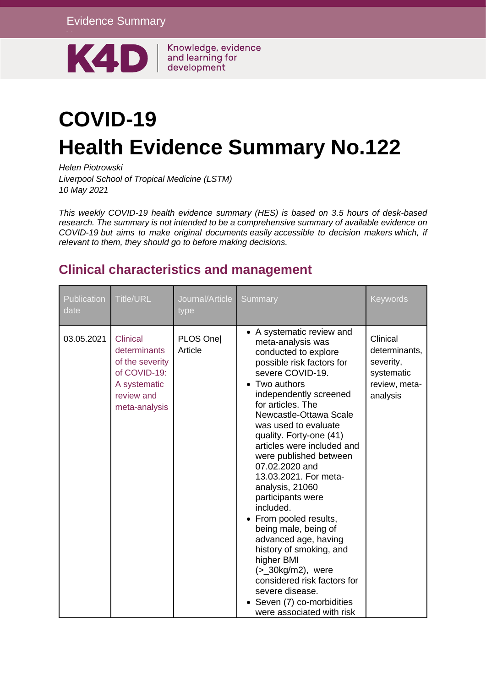Evidence Summary



Knowledge, evidence and learning for development

# **COVID-19 Health Evidence Summary No.122**

*Helen Piotrowski*

*Liverpool School of Tropical Medicine (LSTM) 10 May 2021*

*This weekly COVID-19 health evidence summary (HES) is based on 3.5 hours of desk-based research. The summary is not intended to be a comprehensive summary of available evidence on COVID-19 but aims to make original documents easily accessible to decision makers which, if relevant to them, they should go to before making decisions.*

#### **Clinical characteristics and management**

| Publication<br>date | <b>Title/URL</b>                                                                                                  | Journal/Article<br>type | Summary                                                                                                                                                                                                                                                                                                                                                                                                                                                                                                                                                                                                                                                                          | <b>Keywords</b>                                                                   |
|---------------------|-------------------------------------------------------------------------------------------------------------------|-------------------------|----------------------------------------------------------------------------------------------------------------------------------------------------------------------------------------------------------------------------------------------------------------------------------------------------------------------------------------------------------------------------------------------------------------------------------------------------------------------------------------------------------------------------------------------------------------------------------------------------------------------------------------------------------------------------------|-----------------------------------------------------------------------------------|
| 03.05.2021          | <b>Clinical</b><br>determinants<br>of the severity<br>of COVID-19:<br>A systematic<br>review and<br>meta-analysis | PLOS One<br>Article     | • A systematic review and<br>meta-analysis was<br>conducted to explore<br>possible risk factors for<br>severe COVID-19.<br>Two authors<br>independently screened<br>for articles. The<br>Newcastle-Ottawa Scale<br>was used to evaluate<br>quality. Forty-one (41)<br>articles were included and<br>were published between<br>07.02.2020 and<br>13.03.2021. For meta-<br>analysis, 21060<br>participants were<br>included.<br>• From pooled results,<br>being male, being of<br>advanced age, having<br>history of smoking, and<br>higher BMI<br>$(>$ _30kg/m2), were<br>considered risk factors for<br>severe disease.<br>Seven (7) co-morbidities<br>were associated with risk | Clinical<br>determinants,<br>severity,<br>systematic<br>review, meta-<br>analysis |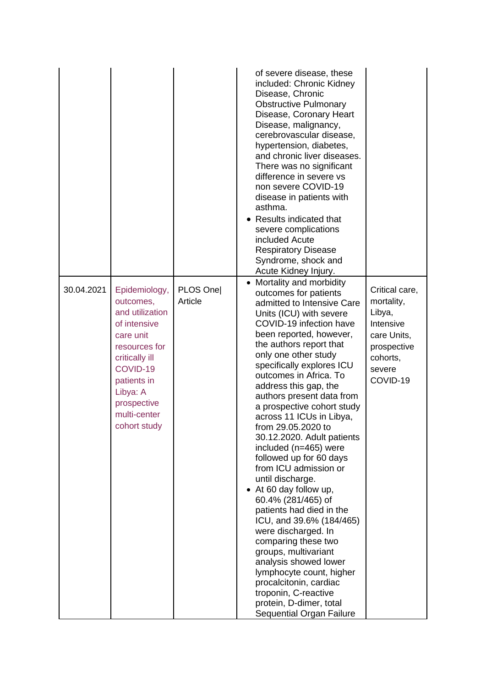|            |                                                                                                                                                                                                     |                     | of severe disease, these<br>included: Chronic Kidney<br>Disease, Chronic<br><b>Obstructive Pulmonary</b><br>Disease, Coronary Heart<br>Disease, malignancy,<br>cerebrovascular disease,<br>hypertension, diabetes,<br>and chronic liver diseases.<br>There was no significant<br>difference in severe vs<br>non severe COVID-19<br>disease in patients with<br>asthma.<br>• Results indicated that<br>severe complications<br>included Acute<br><b>Respiratory Disease</b><br>Syndrome, shock and<br>Acute Kidney Injury.                                                                                                                                                                                                                                                                                                                                                                           |                                                                                                                     |
|------------|-----------------------------------------------------------------------------------------------------------------------------------------------------------------------------------------------------|---------------------|-----------------------------------------------------------------------------------------------------------------------------------------------------------------------------------------------------------------------------------------------------------------------------------------------------------------------------------------------------------------------------------------------------------------------------------------------------------------------------------------------------------------------------------------------------------------------------------------------------------------------------------------------------------------------------------------------------------------------------------------------------------------------------------------------------------------------------------------------------------------------------------------------------|---------------------------------------------------------------------------------------------------------------------|
| 30.04.2021 | Epidemiology,<br>outcomes,<br>and utilization<br>of intensive<br>care unit<br>resources for<br>critically ill<br>COVID-19<br>patients in<br>Libya: A<br>prospective<br>multi-center<br>cohort study | PLOS One<br>Article | • Mortality and morbidity<br>outcomes for patients<br>admitted to Intensive Care<br>Units (ICU) with severe<br>COVID-19 infection have<br>been reported, however,<br>the authors report that<br>only one other study<br>specifically explores ICU<br>outcomes in Africa. To<br>address this gap, the<br>authors present data from<br>a prospective cohort study<br>across 11 ICUs in Libya,<br>from 29.05.2020 to<br>30.12.2020. Adult patients<br>included (n=465) were<br>followed up for 60 days<br>from ICU admission or<br>until discharge.<br>• At 60 day follow up,<br>60.4% (281/465) of<br>patients had died in the<br>ICU, and 39.6% (184/465)<br>were discharged. In<br>comparing these two<br>groups, multivariant<br>analysis showed lower<br>lymphocyte count, higher<br>procalcitonin, cardiac<br>troponin, C-reactive<br>protein, D-dimer, total<br><b>Sequential Organ Failure</b> | Critical care,<br>mortality,<br>Libya,<br>Intensive<br>care Units,<br>prospective<br>cohorts,<br>severe<br>COVID-19 |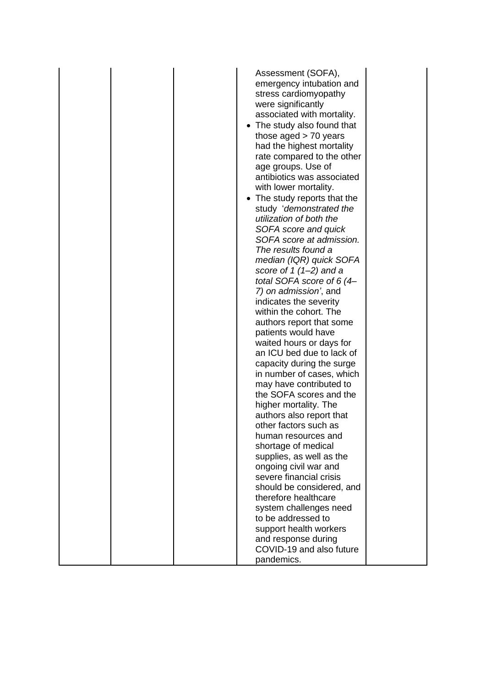|  | Assessment (SOFA),<br>emergency intubation and<br>stress cardiomyopathy<br>were significantly<br>associated with mortality.<br>• The study also found that<br>those aged $> 70$ years<br>had the highest mortality<br>rate compared to the other<br>age groups. Use of<br>antibiotics was associated<br>with lower mortality.<br>• The study reports that the<br>study 'demonstrated the<br>utilization of both the<br>SOFA score and quick<br>SOFA score at admission.<br>The results found a<br>median (IQR) quick SOFA<br>score of $1(1-2)$ and a<br>total SOFA score of 6 $(4-$<br>7) on admission', and<br>indicates the severity<br>within the cohort. The<br>authors report that some<br>patients would have<br>waited hours or days for<br>an ICU bed due to lack of<br>capacity during the surge<br>in number of cases, which<br>may have contributed to<br>the SOFA scores and the<br>higher mortality. The<br>authors also report that<br>other factors such as<br>human resources and<br>shortage of medical<br>supplies, as well as the<br>ongoing civil war and<br>severe financial crisis<br>should be considered, and<br>therefore healthcare<br>system challenges need<br>to be addressed to<br>support health workers<br>and response during<br>COVID-19 and also future<br>pandemics. |  |
|--|----------------------------------------------------------------------------------------------------------------------------------------------------------------------------------------------------------------------------------------------------------------------------------------------------------------------------------------------------------------------------------------------------------------------------------------------------------------------------------------------------------------------------------------------------------------------------------------------------------------------------------------------------------------------------------------------------------------------------------------------------------------------------------------------------------------------------------------------------------------------------------------------------------------------------------------------------------------------------------------------------------------------------------------------------------------------------------------------------------------------------------------------------------------------------------------------------------------------------------------------------------------------------------------------------------|--|
|--|----------------------------------------------------------------------------------------------------------------------------------------------------------------------------------------------------------------------------------------------------------------------------------------------------------------------------------------------------------------------------------------------------------------------------------------------------------------------------------------------------------------------------------------------------------------------------------------------------------------------------------------------------------------------------------------------------------------------------------------------------------------------------------------------------------------------------------------------------------------------------------------------------------------------------------------------------------------------------------------------------------------------------------------------------------------------------------------------------------------------------------------------------------------------------------------------------------------------------------------------------------------------------------------------------------|--|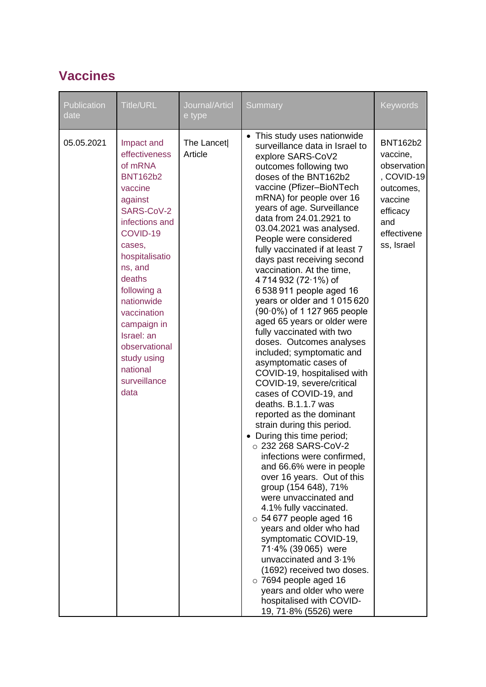#### **Vaccines**

| Publication<br>date | <b>Title/URL</b>                                                                                                                                                                                                                                                                                                          | Journal/Articl<br>e type | Summary                                                                                                                                                                                                                                                                                                                                                                                                                                                                                                                                                                                                                                                                                                                                                                                                                                                                                                                                                                                                                                                                                                                                                                                                                                                                                                                                                       | <b>Keywords</b>                                                                                                                  |
|---------------------|---------------------------------------------------------------------------------------------------------------------------------------------------------------------------------------------------------------------------------------------------------------------------------------------------------------------------|--------------------------|---------------------------------------------------------------------------------------------------------------------------------------------------------------------------------------------------------------------------------------------------------------------------------------------------------------------------------------------------------------------------------------------------------------------------------------------------------------------------------------------------------------------------------------------------------------------------------------------------------------------------------------------------------------------------------------------------------------------------------------------------------------------------------------------------------------------------------------------------------------------------------------------------------------------------------------------------------------------------------------------------------------------------------------------------------------------------------------------------------------------------------------------------------------------------------------------------------------------------------------------------------------------------------------------------------------------------------------------------------------|----------------------------------------------------------------------------------------------------------------------------------|
| 05.05.2021          | Impact and<br>effectiveness<br>of mRNA<br><b>BNT162b2</b><br>vaccine<br>against<br>SARS-CoV-2<br>infections and<br>COVID-19<br>cases,<br>hospitalisatio<br>ns, and<br>deaths<br>following a<br>nationwide<br>vaccination<br>campaign in<br>Israel: an<br>observational<br>study using<br>national<br>surveillance<br>data | The Lancet<br>Article    | • This study uses nationwide<br>surveillance data in Israel to<br>explore SARS-CoV2<br>outcomes following two<br>doses of the BNT162b2<br>vaccine (Pfizer-BioNTech<br>mRNA) for people over 16<br>years of age. Surveillance<br>data from 24.01.2921 to<br>03.04.2021 was analysed.<br>People were considered<br>fully vaccinated if at least 7<br>days past receiving second<br>vaccination. At the time,<br>4714932 (72.1%) of<br>6 538 911 people aged 16<br>years or older and 1015620<br>(90.0%) of 1127 965 people<br>aged 65 years or older were<br>fully vaccinated with two<br>doses. Outcomes analyses<br>included; symptomatic and<br>asymptomatic cases of<br>COVID-19, hospitalised with<br>COVID-19, severe/critical<br>cases of COVID-19, and<br>deaths. B.1.1.7 was<br>reported as the dominant<br>strain during this period.<br>During this time period;<br>$\circ$ 232 268 SARS-CoV-2<br>infections were confirmed,<br>and 66.6% were in people<br>over 16 years. Out of this<br>group (154 648), 71%<br>were unvaccinated and<br>4.1% fully vaccinated.<br>$\circ$ 54 677 people aged 16<br>years and older who had<br>symptomatic COVID-19,<br>71.4% (39 065) were<br>unvaccinated and 3.1%<br>(1692) received two doses.<br>$\circ$ 7694 people aged 16<br>years and older who were<br>hospitalised with COVID-<br>19, 71.8% (5526) were | <b>BNT162b2</b><br>vaccine,<br>observation<br>, COVID-19<br>outcomes,<br>vaccine<br>efficacy<br>and<br>effectivene<br>ss, Israel |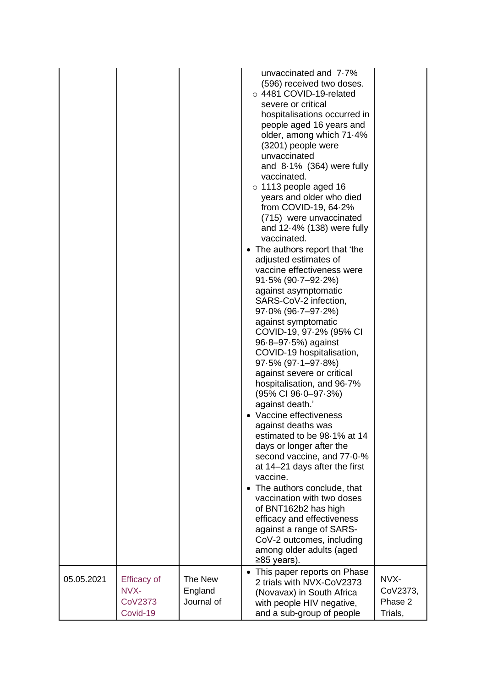|            |                                                   |                                  | unvaccinated and 7.7%<br>(596) received two doses.<br>○ 4481 COVID-19-related<br>severe or critical<br>hospitalisations occurred in<br>people aged 16 years and<br>older, among which 71.4%<br>(3201) people were<br>unvaccinated<br>and $8.1\%$ (364) were fully<br>vaccinated.<br>$\circ$ 1113 people aged 16<br>years and older who died<br>from COVID-19, $64.2\%$<br>(715) were unvaccinated<br>and $12.4\%$ (138) were fully<br>vaccinated.<br>• The authors report that 'the<br>adjusted estimates of<br>vaccine effectiveness were<br>$91.5\%$ (90 $-7-92.2\%$ )<br>against asymptomatic<br>SARS-CoV-2 infection,<br>$97.0\%$ (96.7-97.2%)<br>against symptomatic<br>COVID-19, 97-2% (95% CI<br>$96.8 - 97.5%$ ) against<br>COVID-19 hospitalisation,<br>$97.5\%$ (97 $.1 - 97.8\%$ )<br>against severe or critical<br>hospitalisation, and 96.7%<br>(95% CI 96.0-97.3%)<br>against death.'<br>• Vaccine effectiveness<br>against deaths was<br>estimated to be 98-1% at 14<br>days or longer after the<br>second vaccine, and 77.0.%<br>at 14–21 days after the first<br>vaccine.<br>The authors conclude, that<br>$\bullet$<br>vaccination with two doses<br>of BNT162b2 has high<br>efficacy and effectiveness<br>against a range of SARS-<br>CoV-2 outcomes, including<br>among older adults (aged<br>≥85 years).<br>This paper reports on Phase |                                        |
|------------|---------------------------------------------------|----------------------------------|--------------------------------------------------------------------------------------------------------------------------------------------------------------------------------------------------------------------------------------------------------------------------------------------------------------------------------------------------------------------------------------------------------------------------------------------------------------------------------------------------------------------------------------------------------------------------------------------------------------------------------------------------------------------------------------------------------------------------------------------------------------------------------------------------------------------------------------------------------------------------------------------------------------------------------------------------------------------------------------------------------------------------------------------------------------------------------------------------------------------------------------------------------------------------------------------------------------------------------------------------------------------------------------------------------------------------------------------------------------|----------------------------------------|
| 05.05.2021 | <b>Efficacy of</b><br>NVX-<br>CoV2373<br>Covid-19 | The New<br>England<br>Journal of | 2 trials with NVX-CoV2373<br>(Novavax) in South Africa<br>with people HIV negative,<br>and a sub-group of people                                                                                                                                                                                                                                                                                                                                                                                                                                                                                                                                                                                                                                                                                                                                                                                                                                                                                                                                                                                                                                                                                                                                                                                                                                             | NVX-<br>CoV2373,<br>Phase 2<br>Trials, |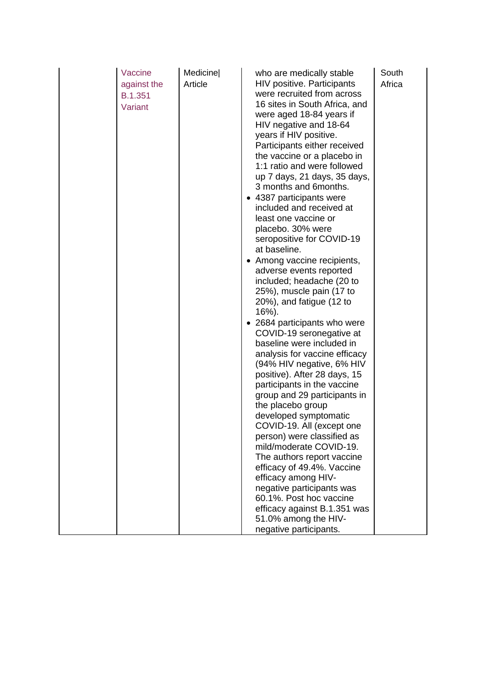| Vaccine<br>against the<br>B.1.351<br>Variant | Medicine<br>Article | who are medically stable<br><b>HIV positive. Participants</b><br>were recruited from across<br>16 sites in South Africa, and<br>were aged 18-84 years if<br>HIV negative and 18-64<br>years if HIV positive.<br>Participants either received<br>the vaccine or a placebo in<br>1:1 ratio and were followed<br>up 7 days, 21 days, 35 days,<br>3 months and 6 months.<br>• 4387 participants were<br>included and received at<br>least one vaccine or<br>placebo. 30% were<br>seropositive for COVID-19<br>at baseline.<br>• Among vaccine recipients,<br>adverse events reported<br>included; headache (20 to<br>25%), muscle pain (17 to<br>$20\%$ ), and fatigue (12 to<br>$16%$ ).<br>• 2684 participants who were<br>COVID-19 seronegative at<br>baseline were included in<br>analysis for vaccine efficacy<br>(94% HIV negative, 6% HIV<br>positive). After 28 days, 15<br>participants in the vaccine<br>group and 29 participants in<br>the placebo group<br>developed symptomatic<br>COVID-19. All (except one<br>person) were classified as<br>mild/moderate COVID-19.<br>The authors report vaccine<br>efficacy of 49.4%. Vaccine<br>efficacy among HIV-<br>negative participants was<br>60.1%. Post hoc vaccine | South<br>Africa |
|----------------------------------------------|---------------------|----------------------------------------------------------------------------------------------------------------------------------------------------------------------------------------------------------------------------------------------------------------------------------------------------------------------------------------------------------------------------------------------------------------------------------------------------------------------------------------------------------------------------------------------------------------------------------------------------------------------------------------------------------------------------------------------------------------------------------------------------------------------------------------------------------------------------------------------------------------------------------------------------------------------------------------------------------------------------------------------------------------------------------------------------------------------------------------------------------------------------------------------------------------------------------------------------------------------------|-----------------|
|                                              |                     | efficacy against B.1.351 was<br>51.0% among the HIV-<br>negative participants.                                                                                                                                                                                                                                                                                                                                                                                                                                                                                                                                                                                                                                                                                                                                                                                                                                                                                                                                                                                                                                                                                                                                             |                 |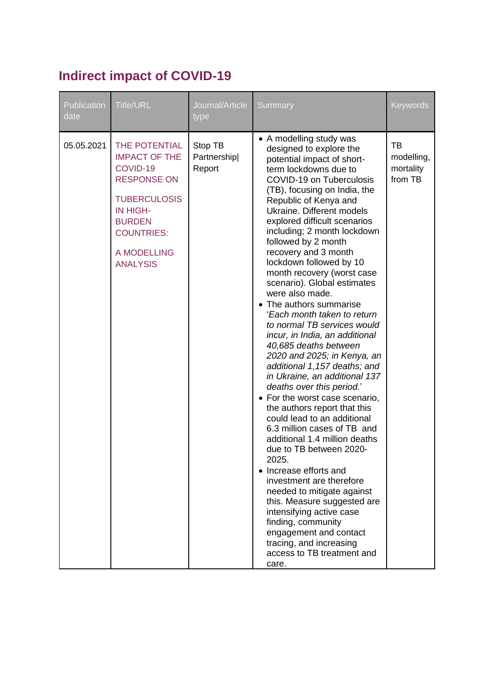### **Indirect impact of COVID-19**

| Publication<br>date | <b>Title/URL</b>                                                                                                                                                                   | Journal/Article<br>type          | Summary                                                                                                                                                                                                                                                                                                                                                                                                                                                                                                                                                                                                                                                                                                                                                                                                                                                                                                                                                                                                                                                                                                                                                                                                            | Keywords                                        |
|---------------------|------------------------------------------------------------------------------------------------------------------------------------------------------------------------------------|----------------------------------|--------------------------------------------------------------------------------------------------------------------------------------------------------------------------------------------------------------------------------------------------------------------------------------------------------------------------------------------------------------------------------------------------------------------------------------------------------------------------------------------------------------------------------------------------------------------------------------------------------------------------------------------------------------------------------------------------------------------------------------------------------------------------------------------------------------------------------------------------------------------------------------------------------------------------------------------------------------------------------------------------------------------------------------------------------------------------------------------------------------------------------------------------------------------------------------------------------------------|-------------------------------------------------|
| 05.05.2021          | THE POTENTIAL<br><b>IMPACT OF THE</b><br>COVID-19<br><b>RESPONSE ON</b><br><b>TUBERCULOSIS</b><br>IN HIGH-<br><b>BURDEN</b><br><b>COUNTRIES:</b><br>A MODELLING<br><b>ANALYSIS</b> | Stop TB<br>Partnership<br>Report | • A modelling study was<br>designed to explore the<br>potential impact of short-<br>term lockdowns due to<br><b>COVID-19 on Tuberculosis</b><br>(TB), focusing on India, the<br>Republic of Kenya and<br>Ukraine. Different models<br>explored difficult scenarios<br>including; 2 month lockdown<br>followed by 2 month<br>recovery and 3 month<br>lockdown followed by 10<br>month recovery (worst case<br>scenario). Global estimates<br>were also made.<br>• The authors summarise<br>'Each month taken to return<br>to normal TB services would<br>incur, in India, an additional<br>40,685 deaths between<br>2020 and 2025; in Kenya, an<br>additional 1,157 deaths; and<br>in Ukraine, an additional 137<br>deaths over this period.'<br>• For the worst case scenario,<br>the authors report that this<br>could lead to an additional<br>6.3 million cases of TB and<br>additional 1.4 million deaths<br>due to TB between 2020-<br>2025.<br>• Increase efforts and<br>investment are therefore<br>needed to mitigate against<br>this. Measure suggested are<br>intensifying active case<br>finding, community<br>engagement and contact<br>tracing, and increasing<br>access to TB treatment and<br>care. | <b>TB</b><br>modelling,<br>mortality<br>from TB |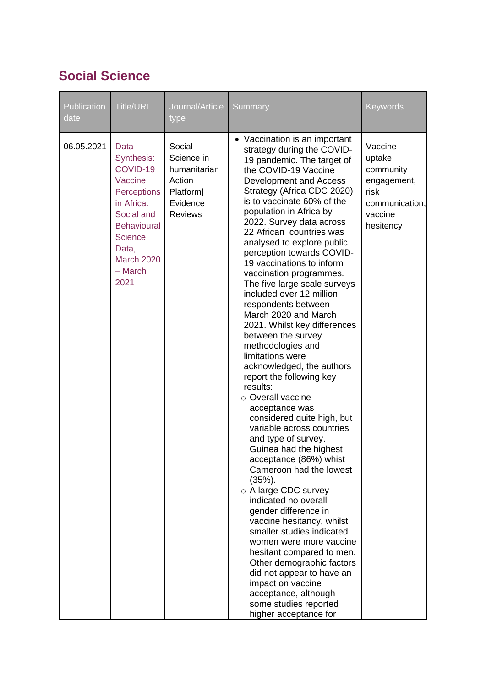#### **Social Science**

| Publication<br>date | Title/URL                                                                                                                                                                       | Journal/Article<br>type                                                                         | Summary                                                                                                                                                                                                                                                                                                                                                                                                                                                                                                                                                                                                                                                                                                                                                                                                                                                                                                                                                                                                                                                                                                                                                                                                                                                              | Keywords                                                                                         |
|---------------------|---------------------------------------------------------------------------------------------------------------------------------------------------------------------------------|-------------------------------------------------------------------------------------------------|----------------------------------------------------------------------------------------------------------------------------------------------------------------------------------------------------------------------------------------------------------------------------------------------------------------------------------------------------------------------------------------------------------------------------------------------------------------------------------------------------------------------------------------------------------------------------------------------------------------------------------------------------------------------------------------------------------------------------------------------------------------------------------------------------------------------------------------------------------------------------------------------------------------------------------------------------------------------------------------------------------------------------------------------------------------------------------------------------------------------------------------------------------------------------------------------------------------------------------------------------------------------|--------------------------------------------------------------------------------------------------|
| 06.05.2021          | Data<br>Synthesis:<br>COVID-19<br>Vaccine<br>Perceptions<br>in Africa:<br>Social and<br><b>Behavioural</b><br><b>Science</b><br>Data,<br><b>March 2020</b><br>$-$ March<br>2021 | Social<br>Science in<br>humanitarian<br>Action<br><b>Platform</b><br>Evidence<br><b>Reviews</b> | • Vaccination is an important<br>strategy during the COVID-<br>19 pandemic. The target of<br>the COVID-19 Vaccine<br>Development and Access<br>Strategy (Africa CDC 2020)<br>is to vaccinate 60% of the<br>population in Africa by<br>2022. Survey data across<br>22 African countries was<br>analysed to explore public<br>perception towards COVID-<br>19 vaccinations to inform<br>vaccination programmes.<br>The five large scale surveys<br>included over 12 million<br>respondents between<br>March 2020 and March<br>2021. Whilst key differences<br>between the survey<br>methodologies and<br>limitations were<br>acknowledged, the authors<br>report the following key<br>results:<br>○ Overall vaccine<br>acceptance was<br>considered quite high, but<br>variable across countries<br>and type of survey.<br>Guinea had the highest<br>acceptance (86%) whist<br>Cameroon had the lowest<br>$(35%)$ .<br>o A large CDC survey<br>indicated no overall<br>gender difference in<br>vaccine hesitancy, whilst<br>smaller studies indicated<br>women were more vaccine<br>hesitant compared to men.<br>Other demographic factors<br>did not appear to have an<br>impact on vaccine<br>acceptance, although<br>some studies reported<br>higher acceptance for | Vaccine<br>uptake,<br>community<br>engagement,<br>risk<br>communication,<br>vaccine<br>hesitency |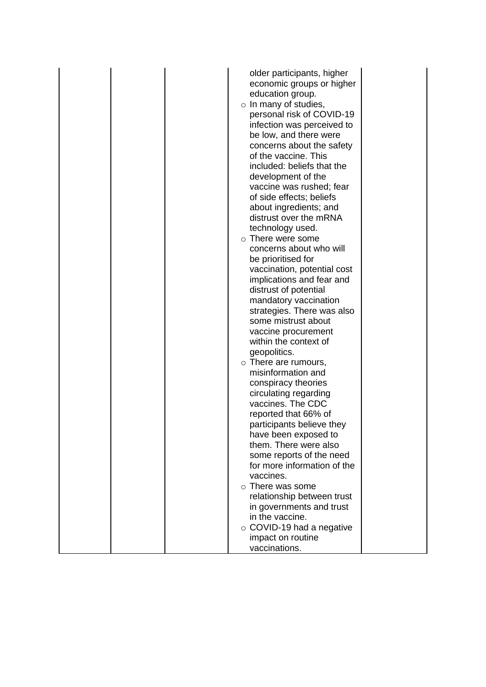|  | older participants, higher                       |
|--|--------------------------------------------------|
|  | economic groups or higher                        |
|  | education group.                                 |
|  | $\circ$ In many of studies,                      |
|  | personal risk of COVID-19                        |
|  | infection was perceived to                       |
|  | be low, and there were                           |
|  | concerns about the safety                        |
|  | of the vaccine. This                             |
|  | included: beliefs that the                       |
|  | development of the                               |
|  | vaccine was rushed; fear                         |
|  | of side effects; beliefs                         |
|  | about ingredients; and                           |
|  | distrust over the mRNA                           |
|  | technology used.                                 |
|  | $\circ$ There were some                          |
|  | concerns about who will                          |
|  | be prioritised for                               |
|  | vaccination, potential cost                      |
|  | implications and fear and                        |
|  | distrust of potential                            |
|  | mandatory vaccination                            |
|  | strategies. There was also                       |
|  | some mistrust about                              |
|  | vaccine procurement                              |
|  | within the context of                            |
|  | geopolitics.                                     |
|  | $\circ$ There are rumours,<br>misinformation and |
|  | conspiracy theories                              |
|  | circulating regarding                            |
|  | vaccines. The CDC                                |
|  | reported that 66% of                             |
|  | participants believe they                        |
|  | have been exposed to                             |
|  | them. There were also                            |
|  | some reports of the need                         |
|  | for more information of the                      |
|  | vaccines.                                        |
|  | $\circ$ There was some                           |
|  | relationship between trust                       |
|  | in governments and trust                         |
|  | in the vaccine.                                  |
|  | $\circ$ COVID-19 had a negative                  |
|  | impact on routine                                |
|  | vaccinations.                                    |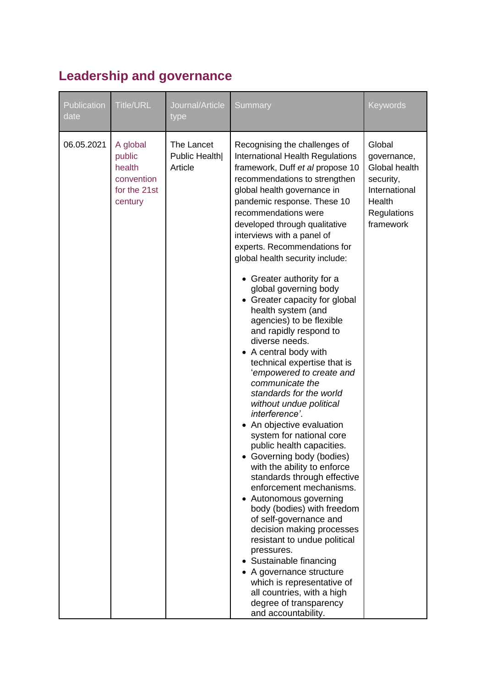### **Leadership and governance**

| Publication<br>date | <b>Title/URL</b>                                                      | Journal/Article<br>type                | Summary                                                                                                                                                                                                                                                                                                                                                                                                                                                                                                                                                                                                                                                                                                                                                                                                                                                                                                                                                                                                                                                                                                                                                                                                                                                               | <b>Keywords</b>                                                                                            |
|---------------------|-----------------------------------------------------------------------|----------------------------------------|-----------------------------------------------------------------------------------------------------------------------------------------------------------------------------------------------------------------------------------------------------------------------------------------------------------------------------------------------------------------------------------------------------------------------------------------------------------------------------------------------------------------------------------------------------------------------------------------------------------------------------------------------------------------------------------------------------------------------------------------------------------------------------------------------------------------------------------------------------------------------------------------------------------------------------------------------------------------------------------------------------------------------------------------------------------------------------------------------------------------------------------------------------------------------------------------------------------------------------------------------------------------------|------------------------------------------------------------------------------------------------------------|
| 06.05.2021          | A global<br>public<br>health<br>convention<br>for the 21st<br>century | The Lancet<br>Public Health<br>Article | Recognising the challenges of<br>International Health Regulations<br>framework, Duff et al propose 10<br>recommendations to strengthen<br>global health governance in<br>pandemic response. These 10<br>recommendations were<br>developed through qualitative<br>interviews with a panel of<br>experts. Recommendations for<br>global health security include:<br>• Greater authority for a<br>global governing body<br>• Greater capacity for global<br>health system (and<br>agencies) to be flexible<br>and rapidly respond to<br>diverse needs.<br>A central body with<br>technical expertise that is<br>'empowered to create and<br>communicate the<br>standards for the world<br>without undue political<br>interference'.<br>An objective evaluation<br>system for national core<br>public health capacities.<br>Governing body (bodies)<br>with the ability to enforce<br>standards through effective<br>enforcement mechanisms.<br>• Autonomous governing<br>body (bodies) with freedom<br>of self-governance and<br>decision making processes<br>resistant to undue political<br>pressures.<br>Sustainable financing<br>A governance structure<br>which is representative of<br>all countries, with a high<br>degree of transparency<br>and accountability. | Global<br>governance,<br>Global health<br>security,<br>International<br>Health<br>Regulations<br>framework |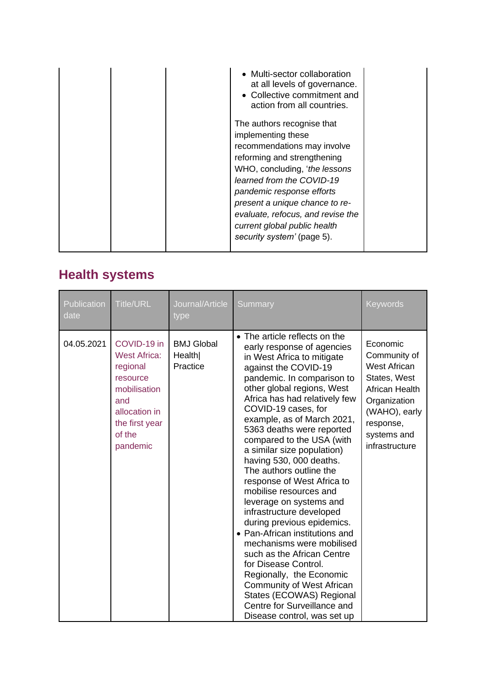| • Multi-sector collaboration<br>at all levels of governance.<br>• Collective commitment and<br>action from all countries.<br>The authors recognise that<br>implementing these<br>recommendations may involve<br>reforming and strengthening<br>WHO, concluding, 'the lessons'<br>learned from the COVID-19<br>pandemic response efforts |  |
|-----------------------------------------------------------------------------------------------------------------------------------------------------------------------------------------------------------------------------------------------------------------------------------------------------------------------------------------|--|
| present a unique chance to re-<br>evaluate, refocus, and revise the<br>current global public health<br>security system' (page 5).                                                                                                                                                                                                       |  |

# **Health systems**

| <b>Publication</b><br>date | <b>Title/URL</b>                                                                                                                           | Journal/Article<br>type                 | Summary                                                                                                                                                                                                                                                                                                                                                                                                                                                                                                                                                                                                                                                                                                                                                                                                                                       | <b>Keywords</b>                                                                                                                                                  |
|----------------------------|--------------------------------------------------------------------------------------------------------------------------------------------|-----------------------------------------|-----------------------------------------------------------------------------------------------------------------------------------------------------------------------------------------------------------------------------------------------------------------------------------------------------------------------------------------------------------------------------------------------------------------------------------------------------------------------------------------------------------------------------------------------------------------------------------------------------------------------------------------------------------------------------------------------------------------------------------------------------------------------------------------------------------------------------------------------|------------------------------------------------------------------------------------------------------------------------------------------------------------------|
| 04.05.2021                 | COVID-19 in<br><b>West Africa:</b><br>regional<br>resource<br>mobilisation<br>and<br>allocation in<br>the first year<br>of the<br>pandemic | <b>BMJ Global</b><br>Health<br>Practice | • The article reflects on the<br>early response of agencies<br>in West Africa to mitigate<br>against the COVID-19<br>pandemic. In comparison to<br>other global regions, West<br>Africa has had relatively few<br>COVID-19 cases, for<br>example, as of March 2021,<br>5363 deaths were reported<br>compared to the USA (with<br>a similar size population)<br>having 530, 000 deaths.<br>The authors outline the<br>response of West Africa to<br>mobilise resources and<br>leverage on systems and<br>infrastructure developed<br>during previous epidemics.<br>• Pan-African institutions and<br>mechanisms were mobilised<br>such as the African Centre<br>for Disease Control.<br>Regionally, the Economic<br><b>Community of West African</b><br>States (ECOWAS) Regional<br>Centre for Surveillance and<br>Disease control, was set up | Economic<br>Community of<br><b>West African</b><br>States, West<br>African Health<br>Organization<br>(WAHO), early<br>response,<br>systems and<br>infrastructure |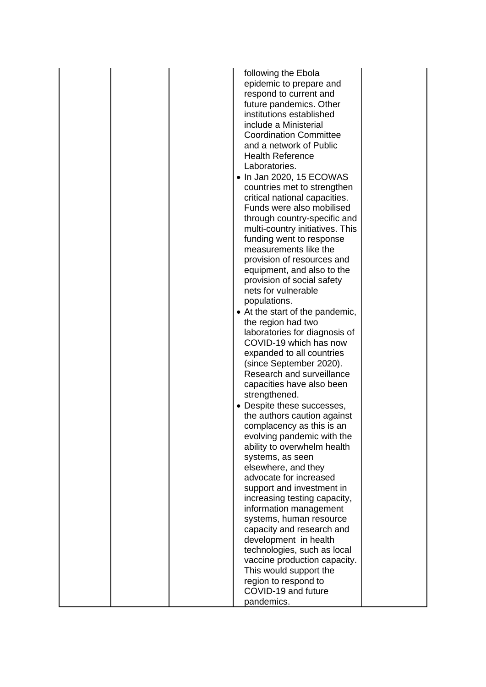|  | following the Ebola                                  |  |
|--|------------------------------------------------------|--|
|  | epidemic to prepare and                              |  |
|  | respond to current and                               |  |
|  | future pandemics. Other                              |  |
|  | institutions established                             |  |
|  | include a Ministerial                                |  |
|  | <b>Coordination Committee</b>                        |  |
|  | and a network of Public                              |  |
|  | <b>Health Reference</b>                              |  |
|  | Laboratories.                                        |  |
|  | • In Jan 2020, 15 ECOWAS                             |  |
|  | countries met to strengthen                          |  |
|  | critical national capacities.                        |  |
|  | Funds were also mobilised                            |  |
|  | through country-specific and                         |  |
|  | multi-country initiatives. This                      |  |
|  | funding went to response                             |  |
|  | measurements like the                                |  |
|  | provision of resources and                           |  |
|  | equipment, and also to the                           |  |
|  | provision of social safety                           |  |
|  | nets for vulnerable                                  |  |
|  | populations.                                         |  |
|  | • At the start of the pandemic,                      |  |
|  | the region had two                                   |  |
|  | laboratories for diagnosis of                        |  |
|  | COVID-19 which has now                               |  |
|  | expanded to all countries                            |  |
|  | (since September 2020).<br>Research and surveillance |  |
|  | capacities have also been                            |  |
|  | strengthened.                                        |  |
|  | • Despite these successes,                           |  |
|  | the authors caution against                          |  |
|  | complacency as this is an                            |  |
|  | evolving pandemic with the                           |  |
|  | ability to overwhelm health                          |  |
|  | systems, as seen                                     |  |
|  | elsewhere, and they                                  |  |
|  | advocate for increased                               |  |
|  | support and investment in                            |  |
|  | increasing testing capacity,                         |  |
|  | information management                               |  |
|  | systems, human resource                              |  |
|  | capacity and research and                            |  |
|  | development in health                                |  |
|  | technologies, such as local                          |  |
|  | vaccine production capacity.                         |  |
|  | This would support the                               |  |
|  | region to respond to                                 |  |
|  | COVID-19 and future                                  |  |
|  | pandemics.                                           |  |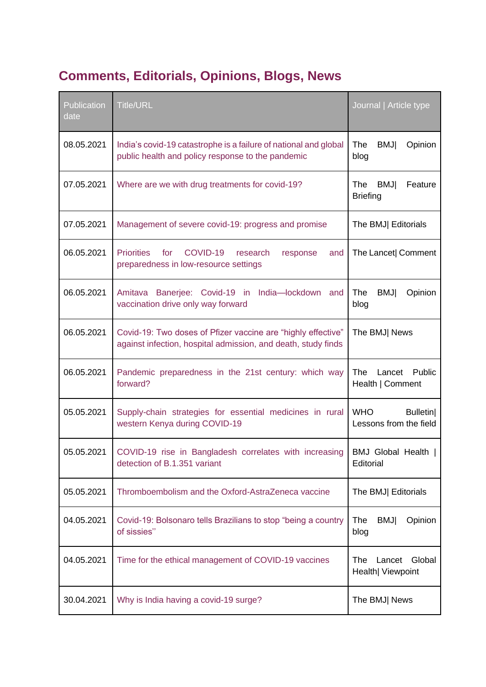## **Comments, Editorials, Opinions, Blogs, News**

| <b>Publication</b><br>date | <b>Title/URL</b>                                                                                                              | Journal   Article type                                  |
|----------------------------|-------------------------------------------------------------------------------------------------------------------------------|---------------------------------------------------------|
| 08.05.2021                 | India's covid-19 catastrophe is a failure of national and global<br>public health and policy response to the pandemic         | The<br><b>BMJ</b><br>Opinion<br>blog                    |
| 07.05.2021                 | Where are we with drug treatments for covid-19?                                                                               | The<br><b>BMJ</b><br>Feature<br><b>Briefing</b>         |
| 07.05.2021                 | Management of severe covid-19: progress and promise                                                                           | The BMJ Editorials                                      |
| 06.05.2021                 | <b>Priorities</b><br>for<br>COVID-19<br>research<br>response<br>and<br>preparedness in low-resource settings                  | The Lancet  Comment                                     |
| 06.05.2021                 | Banerjee: Covid-19 in India-lockdown and<br>Amitava<br>vaccination drive only way forward                                     | The<br><b>BMJ</b><br>Opinion<br>blog                    |
| 06.05.2021                 | Covid-19: Two doses of Pfizer vaccine are "highly effective"<br>against infection, hospital admission, and death, study finds | The BMJ  News                                           |
| 06.05.2021                 | Pandemic preparedness in the 21st century: which way<br>forward?                                                              | <b>The</b><br>Lancet Public<br>Health   Comment         |
| 05.05.2021                 | Supply-chain strategies for essential medicines in rural<br>western Kenya during COVID-19                                     | <b>WHO</b><br><b>Bulletin</b><br>Lessons from the field |
| 05.05.2021                 | COVID-19 rise in Bangladesh correlates with increasing<br>detection of B.1.351 variant                                        | BMJ Global Health  <br>Editorial                        |
| 05.05.2021                 | Thromboembolism and the Oxford-AstraZeneca vaccine                                                                            | The BMJ Editorials                                      |
| 04.05.2021                 | Covid-19: Bolsonaro tells Brazilians to stop "being a country<br>of sissies"                                                  | The<br><b>BMJ</b><br>Opinion<br>blog                    |
| 04.05.2021                 | Time for the ethical management of COVID-19 vaccines                                                                          | Global<br>The<br>Lancet<br>Health  Viewpoint            |
| 30.04.2021                 | Why is India having a covid-19 surge?                                                                                         | The BMJ  News                                           |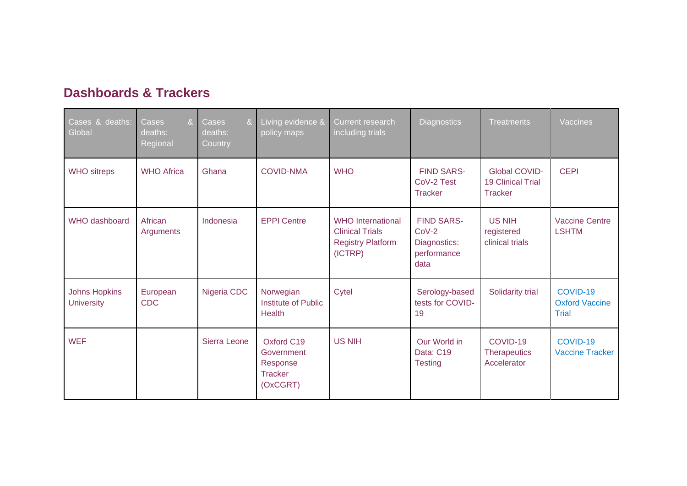| <b>Dashboards &amp; Trackers</b> |  |  |  |  |  |
|----------------------------------|--|--|--|--|--|
|----------------------------------|--|--|--|--|--|

| Cases & deaths:<br>Global                 | 8 <sub>1</sub><br>Cases<br>deaths:<br>Regional | Cases<br>8 <sub>1</sub><br>deaths:<br>Country | Living evidence &<br>policy maps                                   | Current research<br>including trials                                                      | <b>Diagnostics</b>                                                  | <b>Treatments</b>                                           | Vaccines                                          |
|-------------------------------------------|------------------------------------------------|-----------------------------------------------|--------------------------------------------------------------------|-------------------------------------------------------------------------------------------|---------------------------------------------------------------------|-------------------------------------------------------------|---------------------------------------------------|
| <b>WHO</b> sitreps                        | <b>WHO Africa</b>                              | Ghana                                         | <b>COVID-NMA</b>                                                   | <b>WHO</b>                                                                                | <b>FIND SARS-</b><br>CoV-2 Test<br><b>Tracker</b>                   | <b>Global COVID-</b><br><b>19 Clinical Trial</b><br>Tracker | <b>CEPI</b>                                       |
| <b>WHO</b> dashboard                      | African<br>Arguments                           | Indonesia                                     | <b>EPPI Centre</b>                                                 | <b>WHO</b> International<br><b>Clinical Trials</b><br><b>Registry Platform</b><br>(ICTRP) | <b>FIND SARS-</b><br>$CoV-2$<br>Diagnostics:<br>performance<br>data | <b>US NIH</b><br>registered<br>clinical trials              | <b>Vaccine Centre</b><br><b>LSHTM</b>             |
| <b>Johns Hopkins</b><br><b>University</b> | European<br><b>CDC</b>                         | Nigeria CDC                                   | Norwegian<br>Institute of Public<br><b>Health</b>                  | Cytel                                                                                     | Serology-based<br>tests for COVID-<br>19                            | Solidarity trial                                            | COVID-19<br><b>Oxford Vaccine</b><br><b>Trial</b> |
| <b>WEF</b>                                |                                                | Sierra Leone                                  | Oxford C19<br>Government<br>Response<br><b>Tracker</b><br>(OxCGRT) | <b>US NIH</b>                                                                             | Our World in<br>Data: C19<br><b>Testing</b>                         | COVID-19<br><b>Therapeutics</b><br>Accelerator              | COVID-19<br><b>Vaccine Tracker</b>                |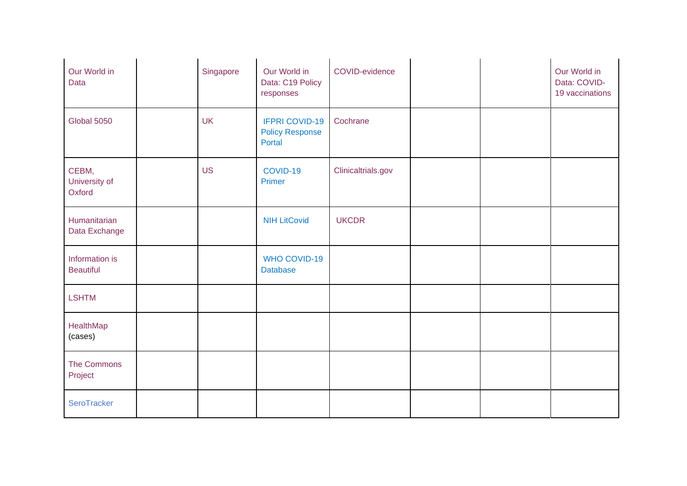| Our World in<br>Data               | Singapore | Our World in<br>Data: C19 Policy<br>responses             | COVID-evidence     |  | Our World in<br>Data: COVID-<br>19 vaccinations |
|------------------------------------|-----------|-----------------------------------------------------------|--------------------|--|-------------------------------------------------|
| Global 5050                        | <b>UK</b> | <b>IFPRI COVID-19</b><br><b>Policy Response</b><br>Portal | Cochrane           |  |                                                 |
| CEBM,<br>University of<br>Oxford   | <b>US</b> | COVID-19<br>Primer                                        | Clinicaltrials.gov |  |                                                 |
| Humanitarian<br>Data Exchange      |           | <b>NIH LitCovid</b>                                       | <b>UKCDR</b>       |  |                                                 |
| Information is<br><b>Beautiful</b> |           | <b>WHO COVID-19</b><br><b>Database</b>                    |                    |  |                                                 |
| <b>LSHTM</b>                       |           |                                                           |                    |  |                                                 |
| HealthMap<br>(cases)               |           |                                                           |                    |  |                                                 |
| The Commons<br>Project             |           |                                                           |                    |  |                                                 |
| SeroTracker                        |           |                                                           |                    |  |                                                 |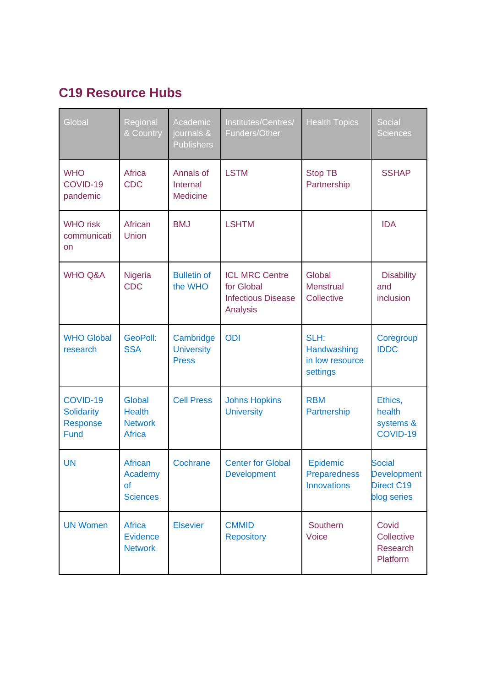#### **C19 Resource Hubs**

| Global                                                   | Regional<br>& Country                                      | Academic<br>journals &<br><b>Publishers</b>    | Institutes/Centres/<br>Funders/Other                                         | <b>Health Topics</b>                               | Social<br><b>Sciences</b>                                               |
|----------------------------------------------------------|------------------------------------------------------------|------------------------------------------------|------------------------------------------------------------------------------|----------------------------------------------------|-------------------------------------------------------------------------|
| <b>WHO</b><br>COVID-19<br>pandemic                       | Africa<br><b>CDC</b>                                       | Annals of<br>Internal<br><b>Medicine</b>       | <b>LSTM</b>                                                                  | <b>Stop TB</b><br>Partnership                      | <b>SSHAP</b>                                                            |
| <b>WHO risk</b><br>communicati<br>on                     | African<br>Union                                           | <b>BMJ</b>                                     | <b>LSHTM</b>                                                                 |                                                    | <b>IDA</b>                                                              |
| <b>WHO Q&amp;A</b>                                       | Nigeria<br><b>CDC</b>                                      | <b>Bulletin of</b><br>the WHO                  | <b>ICL MRC Centre</b><br>for Global<br><b>Infectious Disease</b><br>Analysis | Global<br><b>Menstrual</b><br>Collective           | <b>Disability</b><br>and<br>inclusion                                   |
| <b>WHO Global</b><br>research                            | GeoPoll:<br><b>SSA</b>                                     | Cambridge<br><b>University</b><br><b>Press</b> | <b>ODI</b>                                                                   | SLH:<br>Handwashing<br>in low resource<br>settings | Coregroup<br><b>IDDC</b>                                                |
| COVID-19<br><b>Solidarity</b><br>Response<br><b>Fund</b> | Global<br><b>Health</b><br><b>Network</b><br><b>Africa</b> | <b>Cell Press</b>                              | <b>Johns Hopkins</b><br><b>University</b>                                    | <b>RBM</b><br>Partnership                          | Ethics,<br>health<br>systems &<br>COVID-19                              |
| <b>UN</b>                                                | African<br>Academy<br>0f<br><b>Sciences</b>                | Cochrane                                       | <b>Center for Global</b><br><b>Development</b>                               | Epidemic<br>Preparedness<br><b>Innovations</b>     | <b>Social</b><br><b>Development</b><br><b>Direct C19</b><br>blog series |
| <b>UN Women</b>                                          | <b>Africa</b><br>Evidence<br><b>Network</b>                | <b>Elsevier</b>                                | <b>CMMID</b><br><b>Repository</b>                                            | Southern<br>Voice                                  | Covid<br>Collective<br>Research<br>Platform                             |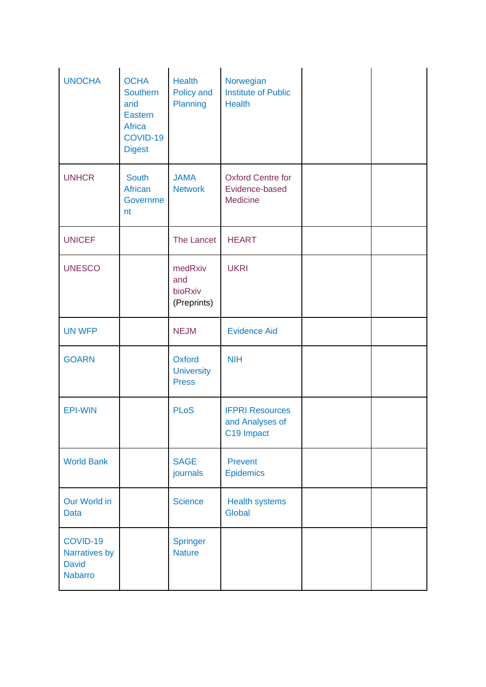| <b>UNOCHA</b>                                               | <b>OCHA</b><br>Southern<br>and<br><b>Eastern</b><br>Africa<br>COVID-19<br><b>Digest</b> | <b>Health</b><br>Policy and<br>Planning     | Norwegian<br><b>Institute of Public</b><br><b>Health</b> |  |
|-------------------------------------------------------------|-----------------------------------------------------------------------------------------|---------------------------------------------|----------------------------------------------------------|--|
| <b>UNHCR</b>                                                | <b>South</b><br>African<br>Governme<br>nt                                               | <b>JAMA</b><br><b>Network</b>               | <b>Oxford Centre for</b><br>Evidence-based<br>Medicine   |  |
| <b>UNICEF</b>                                               |                                                                                         | The Lancet                                  | <b>HEART</b>                                             |  |
| <b>UNESCO</b>                                               |                                                                                         | medRxiv<br>and<br>bioRxiv<br>(Preprints)    | <b>UKRI</b>                                              |  |
| <b>UN WFP</b>                                               |                                                                                         | <b>NEJM</b>                                 | <b>Evidence Aid</b>                                      |  |
| <b>GOARN</b>                                                |                                                                                         | Oxford<br><b>University</b><br><b>Press</b> | <b>NIH</b>                                               |  |
| <b>EPI-WIN</b>                                              |                                                                                         | <b>PLoS</b>                                 | <b>IFPRI Resources</b><br>and Analyses of<br>C19 Impact  |  |
| <b>World Bank</b>                                           |                                                                                         | <b>SAGE</b><br>journals                     | Prevent<br>Epidemics                                     |  |
| Our World in<br><b>Data</b>                                 |                                                                                         | <b>Science</b>                              | Health systems<br><b>Global</b>                          |  |
| COVID-19<br>Narratives by<br><b>David</b><br><b>Nabarro</b> |                                                                                         | <b>Springer</b><br><b>Nature</b>            |                                                          |  |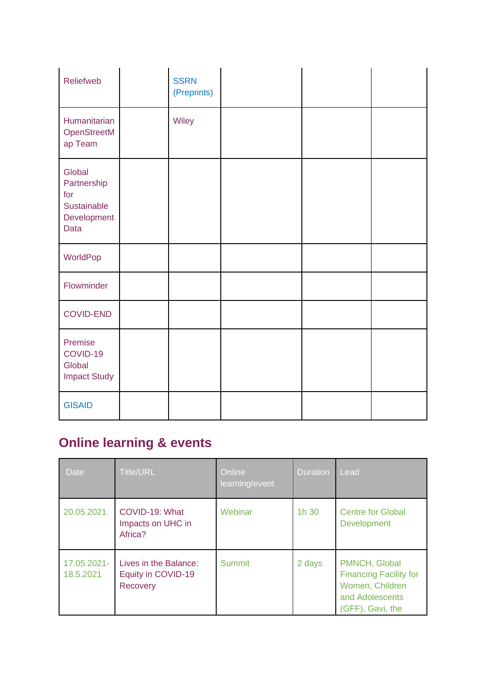| Reliefweb                                                          | <b>SSRN</b><br>(Preprints) |  |  |
|--------------------------------------------------------------------|----------------------------|--|--|
| Humanitarian<br>OpenStreetM<br>ap Team                             | Wiley                      |  |  |
| Global<br>Partnership<br>for<br>Sustainable<br>Development<br>Data |                            |  |  |
| WorldPop                                                           |                            |  |  |
| Flowminder                                                         |                            |  |  |
| <b>COVID-END</b>                                                   |                            |  |  |
| Premise<br>COVID-19<br>Global<br><b>Impact Study</b>               |                            |  |  |
| <b>GISAID</b>                                                      |                            |  |  |

### **Online learning & events**

| <b>Date</b>              | <b>Title/URL</b>                                               | Online<br>learning/event | <b>Duration</b> | Lead                                                                                                     |
|--------------------------|----------------------------------------------------------------|--------------------------|-----------------|----------------------------------------------------------------------------------------------------------|
| 20.05.2021               | COVID-19: What<br>Impacts on UHC in<br>Africa?                 | Webinar                  | 1h 30           | <b>Centre for Global</b><br><b>Development</b>                                                           |
| 17.05.2021-<br>18.5.2021 | Lives in the Balance:<br>Equity in COVID-19<br><b>Recovery</b> | <b>Summit</b>            | 2 days          | PMNCH, Global<br><b>Financing Facility for</b><br>Women, Children<br>and Adolescents<br>(GFF), Gavi, the |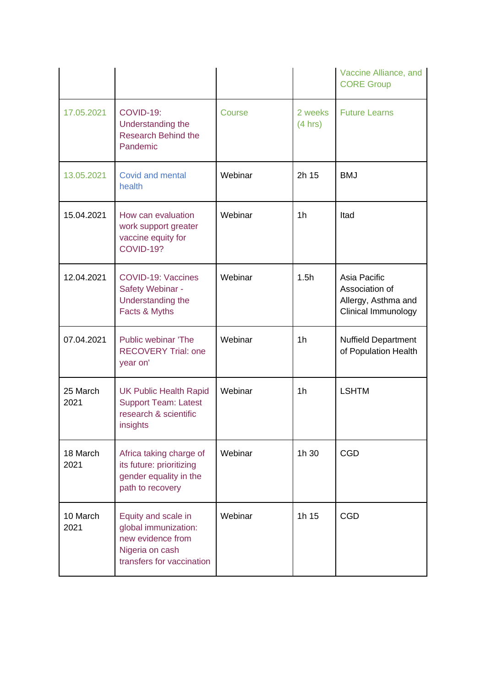|                  |                                                                                                                  |         |                    | Vaccine Alliance, and<br><b>CORE Group</b>                                          |
|------------------|------------------------------------------------------------------------------------------------------------------|---------|--------------------|-------------------------------------------------------------------------------------|
| 17.05.2021       | COVID-19:<br>Understanding the<br><b>Research Behind the</b><br>Pandemic                                         | Course  | 2 weeks<br>(4 hrs) | <b>Future Learns</b>                                                                |
| 13.05.2021       | Covid and mental<br>health                                                                                       | Webinar | 2h 15              | <b>BMJ</b>                                                                          |
| 15.04.2021       | How can evaluation<br>work support greater<br>vaccine equity for<br><b>COVID-19?</b>                             | Webinar | 1 <sub>h</sub>     | Itad                                                                                |
| 12.04.2021       | <b>COVID-19: Vaccines</b><br>Safety Webinar -<br>Understanding the<br>Facts & Myths                              | Webinar | 1.5h               | Asia Pacific<br>Association of<br>Allergy, Asthma and<br><b>Clinical Immunology</b> |
| 07.04.2021       | Public webinar 'The<br><b>RECOVERY Trial: one</b><br>year on'                                                    | Webinar | 1 <sub>h</sub>     | <b>Nuffield Department</b><br>of Population Health                                  |
| 25 March<br>2021 | <b>UK Public Health Rapid</b><br><b>Support Team: Latest</b><br>research & scientific<br>insights                | Webinar | 1 <sub>h</sub>     | <b>LSHTM</b>                                                                        |
| 18 March<br>2021 | Africa taking charge of<br>its future: prioritizing<br>gender equality in the<br>path to recovery                | Webinar | 1h 30              | <b>CGD</b>                                                                          |
| 10 March<br>2021 | Equity and scale in<br>global immunization:<br>new evidence from<br>Nigeria on cash<br>transfers for vaccination | Webinar | 1h 15              | <b>CGD</b>                                                                          |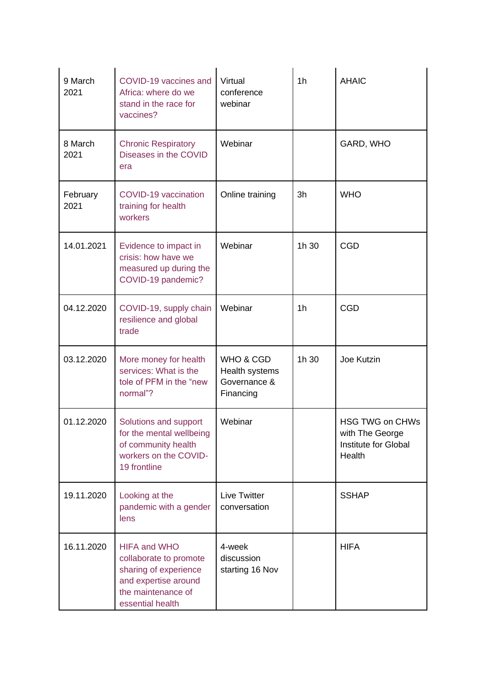| 9 March<br>2021  | COVID-19 vaccines and<br>Africa: where do we<br>stand in the race for<br>vaccines?                                                       | Virtual<br>conference<br>webinar                         | 1 <sub>h</sub> | <b>AHAIC</b>                                                                |
|------------------|------------------------------------------------------------------------------------------------------------------------------------------|----------------------------------------------------------|----------------|-----------------------------------------------------------------------------|
| 8 March<br>2021  | <b>Chronic Respiratory</b><br>Diseases in the COVID<br>era                                                                               | Webinar                                                  |                | GARD, WHO                                                                   |
| February<br>2021 | COVID-19 vaccination<br>training for health<br>workers                                                                                   | Online training                                          | 3h             | <b>WHO</b>                                                                  |
| 14.01.2021       | Evidence to impact in<br>crisis: how have we<br>measured up during the<br>COVID-19 pandemic?                                             | Webinar                                                  | 1h 30          | <b>CGD</b>                                                                  |
| 04.12.2020       | COVID-19, supply chain<br>resilience and global<br>trade                                                                                 | Webinar                                                  | 1 <sub>h</sub> | <b>CGD</b>                                                                  |
| 03.12.2020       | More money for health<br>services: What is the<br>tole of PFM in the "new<br>normal"?                                                    | WHO & CGD<br>Health systems<br>Governance &<br>Financing | 1h 30          | Joe Kutzin                                                                  |
| 01.12.2020       | Solutions and support<br>for the mental wellbeing<br>of community health<br>workers on the COVID-<br>19 frontline                        | Webinar                                                  |                | <b>HSG TWG on CHWs</b><br>with The George<br>Institute for Global<br>Health |
| 19.11.2020       | Looking at the<br>pandemic with a gender<br>lens                                                                                         | <b>Live Twitter</b><br>conversation                      |                | <b>SSHAP</b>                                                                |
| 16.11.2020       | <b>HIFA and WHO</b><br>collaborate to promote<br>sharing of experience<br>and expertise around<br>the maintenance of<br>essential health | 4-week<br>discussion<br>starting 16 Nov                  |                | <b>HIFA</b>                                                                 |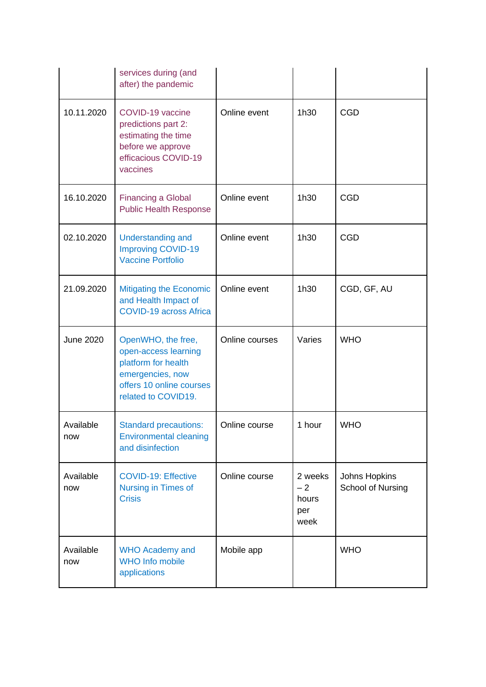|                  | services during (and<br>after) the pandemic                                                                                              |                |                                         |                                    |
|------------------|------------------------------------------------------------------------------------------------------------------------------------------|----------------|-----------------------------------------|------------------------------------|
| 10.11.2020       | COVID-19 vaccine<br>predictions part 2:<br>estimating the time<br>before we approve<br>efficacious COVID-19<br>vaccines                  | Online event   | 1h30                                    | <b>CGD</b>                         |
| 16.10.2020       | <b>Financing a Global</b><br><b>Public Health Response</b>                                                                               | Online event   | 1h30                                    | <b>CGD</b>                         |
| 02.10.2020       | <b>Understanding and</b><br><b>Improving COVID-19</b><br><b>Vaccine Portfolio</b>                                                        | Online event   | 1h30                                    | <b>CGD</b>                         |
| 21.09.2020       | <b>Mitigating the Economic</b><br>and Health Impact of<br><b>COVID-19 across Africa</b>                                                  | Online event   | 1h30                                    | CGD, GF, AU                        |
| <b>June 2020</b> | OpenWHO, the free,<br>open-access learning<br>platform for health<br>emergencies, now<br>offers 10 online courses<br>related to COVID19. | Online courses | Varies                                  | <b>WHO</b>                         |
| Available<br>now | <b>Standard precautions:</b><br><b>Environmental cleaning</b><br>and disinfection                                                        | Online course  | 1 hour                                  | <b>WHO</b>                         |
| Available<br>now | <b>COVID-19: Effective</b><br>Nursing in Times of<br><b>Crisis</b>                                                                       | Online course  | 2 weeks<br>$-2$<br>hours<br>per<br>week | Johns Hopkins<br>School of Nursing |
| Available<br>now | <b>WHO Academy and</b><br><b>WHO Info mobile</b><br>applications                                                                         | Mobile app     |                                         | <b>WHO</b>                         |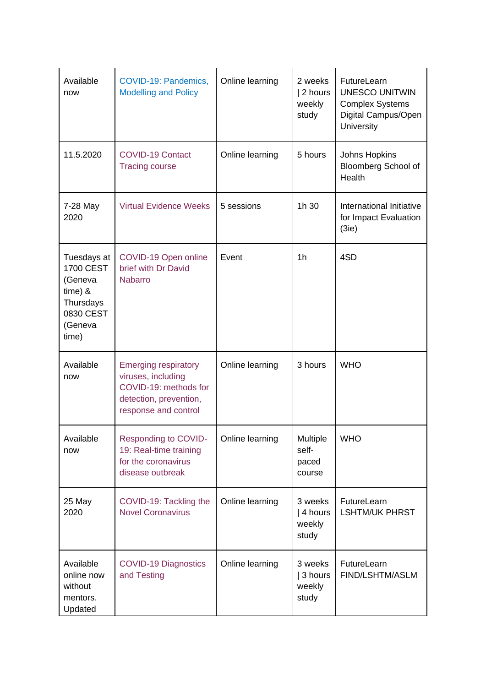| Available<br>now                                                                                      | COVID-19: Pandemics,<br><b>Modelling and Policy</b>                                                                          | Online learning | 2 weeks<br>2 hours<br>weekly<br>study   | FutureLearn<br><b>UNESCO UNITWIN</b><br><b>Complex Systems</b><br>Digital Campus/Open<br>University |
|-------------------------------------------------------------------------------------------------------|------------------------------------------------------------------------------------------------------------------------------|-----------------|-----------------------------------------|-----------------------------------------------------------------------------------------------------|
| 11.5.2020                                                                                             | <b>COVID-19 Contact</b><br><b>Tracing course</b>                                                                             | Online learning | 5 hours                                 | Johns Hopkins<br><b>Bloomberg School of</b><br>Health                                               |
| 7-28 May<br>2020                                                                                      | <b>Virtual Evidence Weeks</b>                                                                                                | 5 sessions      | 1h 30                                   | International Initiative<br>for Impact Evaluation<br>(3ie)                                          |
| Tuesdays at<br><b>1700 CEST</b><br>(Geneva<br>$time)$ &<br>Thursdays<br>0830 CEST<br>(Geneva<br>time) | COVID-19 Open online<br>brief with Dr David<br><b>Nabarro</b>                                                                | Event           | 1 <sub>h</sub>                          | 4SD                                                                                                 |
| Available<br>now                                                                                      | <b>Emerging respiratory</b><br>viruses, including<br>COVID-19: methods for<br>detection, prevention,<br>response and control | Online learning | 3 hours                                 | <b>WHO</b>                                                                                          |
| Available<br>now                                                                                      | Responding to COVID-<br>19: Real-time training<br>for the coronavirus<br>disease outbreak                                    | Online learning | Multiple<br>self-<br>paced<br>course    | <b>WHO</b>                                                                                          |
| 25 May<br>2020                                                                                        | COVID-19: Tackling the<br><b>Novel Coronavirus</b>                                                                           | Online learning | 3 weeks<br>  4 hours<br>weekly<br>study | FutureLearn<br><b>LSHTM/UK PHRST</b>                                                                |
| Available<br>online now<br>without<br>mentors.<br>Updated                                             | <b>COVID-19 Diagnostics</b><br>and Testing                                                                                   | Online learning | 3 weeks<br>  3 hours<br>weekly<br>study | FutureLearn<br>FIND/LSHTM/ASLM                                                                      |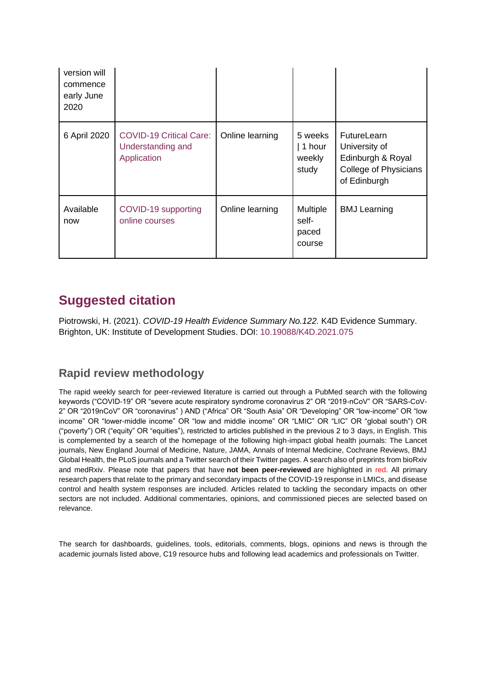| version will<br>commence<br>early June<br>2020 |                                                                    |                 |                                      |                                                                                                   |
|------------------------------------------------|--------------------------------------------------------------------|-----------------|--------------------------------------|---------------------------------------------------------------------------------------------------|
| 6 April 2020                                   | <b>COVID-19 Critical Care:</b><br>Understanding and<br>Application | Online learning | 5 weeks<br>1 hour<br>weekly<br>study | <b>FutureLearn</b><br>University of<br>Edinburgh & Royal<br>College of Physicians<br>of Edinburgh |
| Available<br>now                               | COVID-19 supporting<br>online courses                              | Online learning | Multiple<br>self-<br>paced<br>course | <b>BMJ Learning</b>                                                                               |

#### **Suggested citation**

Piotrowski, H. (2021). *COVID-19 Health Evidence Summary No.122.* K4D Evidence Summary. Brighton, UK: Institute of Development Studies. DOI: [10.19088/K4D.2021.075](https://doi.org/10.19088/K4D.2021.075)

#### **Rapid review methodology**

The rapid weekly search for peer-reviewed literature is carried out through a PubMed search with the following keywords ("COVID-19" OR "severe acute respiratory syndrome coronavirus 2" OR "2019-nCoV" OR "SARS-CoV-2" OR "2019nCoV" OR "coronavirus" ) AND ("Africa" OR "South Asia" OR "Developing" OR "low-income" OR "low income" OR "lower-middle income" OR "low and middle income" OR "LMIC" OR "LIC" OR "global south") OR ("poverty") OR ("equity" OR "equities"), restricted to articles published in the previous 2 to 3 days, in English. This is complemented by a search of the homepage of the following high-impact global health journals: The Lancet journals, New England Journal of Medicine, Nature, JAMA, Annals of Internal Medicine, Cochrane Reviews, BMJ Global Health, the PLoS journals and a Twitter search of their Twitter pages. A search also of preprints from bioRxiv and medRxiv. Please note that papers that have **not been peer-reviewed** are highlighted in red. All primary research papers that relate to the primary and secondary impacts of the COVID-19 response in LMICs, and disease control and health system responses are included. Articles related to tackling the secondary impacts on other sectors are not included. Additional commentaries, opinions, and commissioned pieces are selected based on relevance.

The search for dashboards, guidelines, tools, editorials, comments, blogs, opinions and news is through the academic journals listed above, C19 resource hubs and following lead academics and professionals on Twitter.